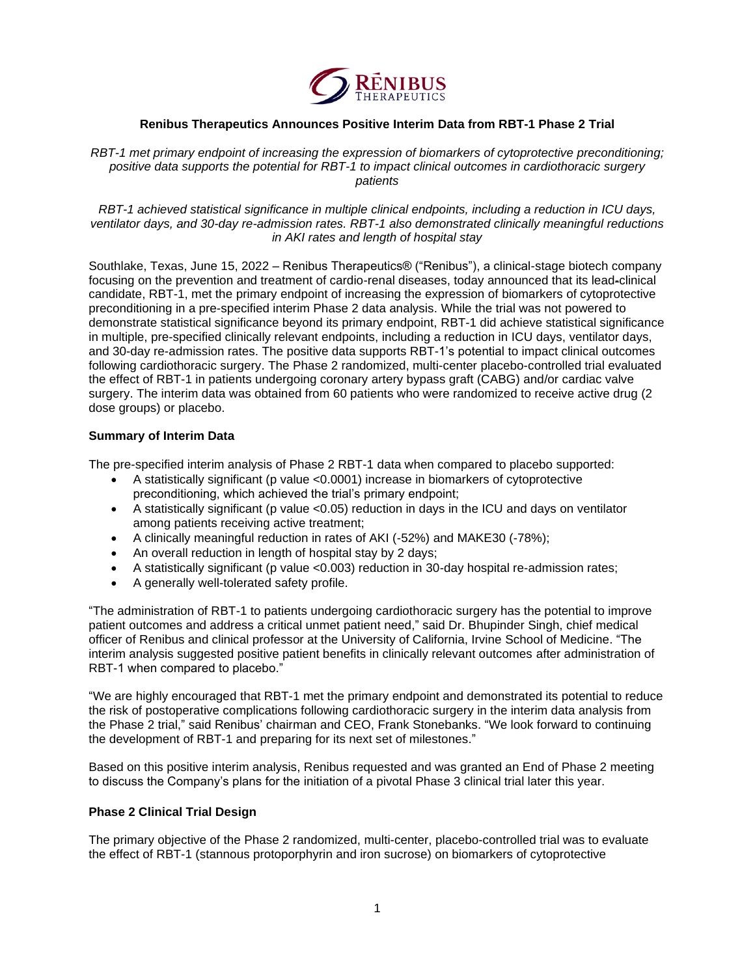

# **Renibus Therapeutics Announces Positive Interim Data from RBT-1 Phase 2 Trial**

*RBT-1 met primary endpoint of increasing the expression of biomarkers of cytoprotective preconditioning; positive data supports the potential for RBT-1 to impact clinical outcomes in cardiothoracic surgery patients* 

*RBT-1 achieved statistical significance in multiple clinical endpoints, including a reduction in ICU days, ventilator days, and 30-day re-admission rates. RBT-1 also demonstrated clinically meaningful reductions in AKI rates and length of hospital stay*

Southlake, Texas, June 15, 2022 – Renibus Therapeutics® ("Renibus"), a clinical-stage biotech company focusing on the prevention and treatment of cardio-renal diseases, today announced that its lead-clinical candidate, RBT-1, met the primary endpoint of increasing the expression of biomarkers of cytoprotective preconditioning in a pre-specified interim Phase 2 data analysis. While the trial was not powered to demonstrate statistical significance beyond its primary endpoint, RBT-1 did achieve statistical significance in multiple, pre-specified clinically relevant endpoints, including a reduction in ICU days, ventilator days, and 30-day re-admission rates. The positive data supports RBT-1's potential to impact clinical outcomes following cardiothoracic surgery. The Phase 2 randomized, multi-center placebo-controlled trial evaluated the effect of RBT-1 in patients undergoing coronary artery bypass graft (CABG) and/or cardiac valve surgery. The interim data was obtained from 60 patients who were randomized to receive active drug (2 dose groups) or placebo.

### **Summary of Interim Data**

The pre-specified interim analysis of Phase 2 RBT-1 data when compared to placebo supported:

- A statistically significant (p value <0.0001) increase in biomarkers of cytoprotective preconditioning, which achieved the trial's primary endpoint;
- A statistically significant (p value <0.05) reduction in days in the ICU and days on ventilator among patients receiving active treatment;
- A clinically meaningful reduction in rates of AKI (-52%) and MAKE30 (-78%);
- An overall reduction in length of hospital stay by 2 days;
- A statistically significant (p value <0.003) reduction in 30-day hospital re-admission rates;
- A generally well-tolerated safety profile.

"The administration of RBT-1 to patients undergoing cardiothoracic surgery has the potential to improve patient outcomes and address a critical unmet patient need," said Dr. Bhupinder Singh, chief medical officer of Renibus and clinical professor at the University of California, Irvine School of Medicine. "The interim analysis suggested positive patient benefits in clinically relevant outcomes after administration of RBT-1 when compared to placebo."

"We are highly encouraged that RBT-1 met the primary endpoint and demonstrated its potential to reduce the risk of postoperative complications following cardiothoracic surgery in the interim data analysis from the Phase 2 trial," said Renibus' chairman and CEO, Frank Stonebanks. "We look forward to continuing the development of RBT-1 and preparing for its next set of milestones."

Based on this positive interim analysis, Renibus requested and was granted an End of Phase 2 meeting to discuss the Company's plans for the initiation of a pivotal Phase 3 clinical trial later this year.

### **Phase 2 Clinical Trial Design**

The primary objective of the Phase 2 randomized, multi-center, placebo-controlled trial was to evaluate the effect of RBT-1 (stannous protoporphyrin and iron sucrose) on biomarkers of cytoprotective